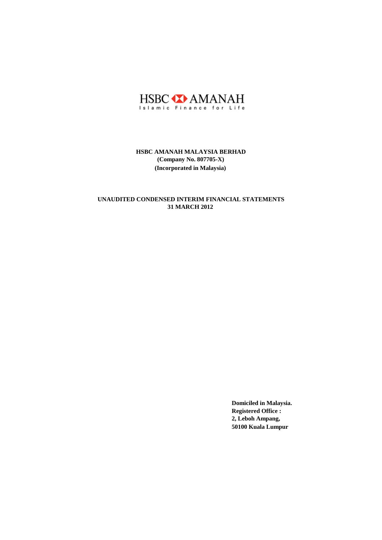

# **31 MARCH 2012 UNAUDITED CONDENSED INTERIM FINANCIAL STATEMENTS**

**Domiciled in Malaysia. Registered Office : 2, Leboh Ampang, 50100 Kuala Lumpur**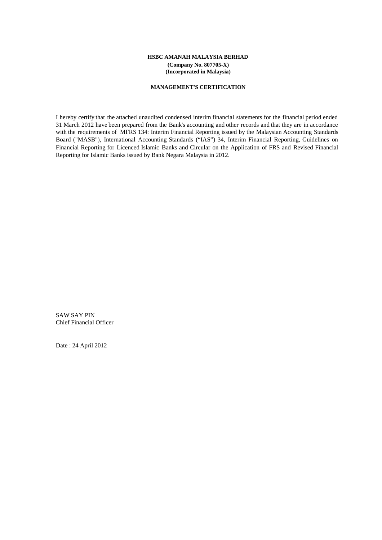## **MANAGEMENT'S CERTIFICATION**

I hereby certify that the attached unaudited condensed interim financial statements for the financial period ended 31 March 2012 have been prepared from the Bank's accounting and other records and that they are in accordance with the requirements of MFRS 134: Interim Financial Reporting issued by the Malaysian Accounting Standards Board ("MASB"), International Accounting Standards ("IAS") 34, Interim Financial Reporting, Guidelines on Financial Reporting for Licenced Islamic Banks and Circular on the Application of FRS and Revised Financial Reporting for Islamic Banks issued by Bank Negara Malaysia in 2012.

SAW SAY PIN Chief Financial Officer

Date : 24 April 2012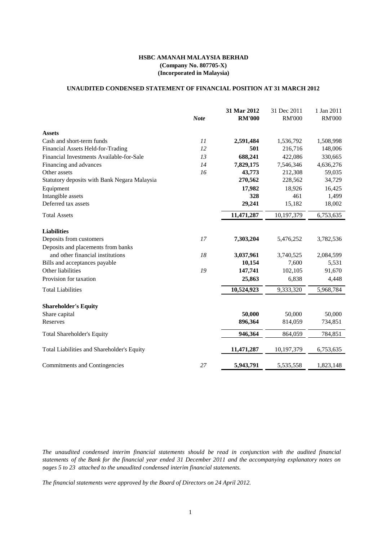# **UNAUDITED CONDENSED STATEMENT OF FINANCIAL POSITION AT 31 MARCH 2012**

|                                              |             | 31 Mar 2012   | 31 Dec 2011   | 1 Jan 2011    |
|----------------------------------------------|-------------|---------------|---------------|---------------|
|                                              | <b>Note</b> | <b>RM'000</b> | <b>RM'000</b> | <b>RM'000</b> |
| <b>Assets</b>                                |             |               |               |               |
| Cash and short-term funds                    | 11          | 2,591,484     | 1,536,792     | 1,508,998     |
| Financial Assets Held-for-Trading            | 12          | 501           | 216,716       | 148,006       |
| Financial Investments Available-for-Sale     | 13          | 688,241       | 422,086       | 330,665       |
| Financing and advances                       | 14          | 7,829,175     | 7,546,346     | 4,636,276     |
| Other assets                                 | 16          | 43,773        | 212,308       | 59,035        |
| Statutory deposits with Bank Negara Malaysia |             | 270,562       | 228,562       | 34,729        |
| Equipment                                    |             | 17,982        | 18,926        | 16,425        |
| Intangible assets                            |             | 328           | 461           | 1,499         |
| Deferred tax assets                          |             | 29,241        | 15,182        | 18,002        |
| <b>Total Assets</b>                          |             | 11,471,287    | 10,197,379    | 6,753,635     |
| <b>Liabilities</b>                           |             |               |               |               |
| Deposits from customers                      | 17          | 7,303,204     | 5,476,252     | 3,782,536     |
| Deposits and placements from banks           |             |               |               |               |
| and other financial institutions             | 18          | 3,037,961     | 3,740,525     | 2,084,599     |
| Bills and acceptances payable                |             | 10,154        | 7,600         | 5,531         |
| Other liabilities                            | 19          | 147,741       | 102,105       | 91,670        |
| Provision for taxation                       |             | 25,863        | 6,838         | 4,448         |
| <b>Total Liabilities</b>                     |             | 10,524,923    | 9,333,320     | 5,968,784     |
| <b>Shareholder's Equity</b>                  |             |               |               |               |
| Share capital                                |             | 50,000        | 50,000        | 50,000        |
| Reserves                                     |             | 896,364       | 814,059       | 734,851       |
|                                              |             |               |               |               |
| <b>Total Shareholder's Equity</b>            |             | 946,364       | 864,059       | 784,851       |
| Total Liabilities and Shareholder's Equity   |             | 11,471,287    | 10,197,379    | 6,753,635     |
| Commitments and Contingencies                | 27          | 5,943,791     | 5,535,558     | 1,823,148     |
|                                              |             |               |               |               |

*The unaudited condensed interim financial statements should be read in conjunction with the audited financial* statements of the Bank for the financial year ended 31 December 2011 and the accompanying explanatory notes on *pages 5 to 23 attached to the unaudited condensed interim financial statements.*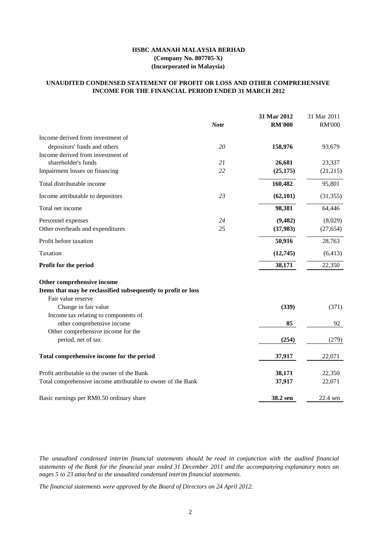# **INCOME FOR THE FINANCIAL PERIOD ENDED 31 MARCH 2012 UNAUDITED CONDENSED STATEMENT OF PROFIT OR LOSS AND OTHER COMPREHENSIVE**

|                                                               |             | 31 Mar 2012   | 31 Mar 2011   |
|---------------------------------------------------------------|-------------|---------------|---------------|
|                                                               | <b>Note</b> | <b>RM'000</b> | <b>RM'000</b> |
| Income derived from investment of                             |             |               |               |
| depositors' funds and others                                  | 20          | 158,976       | 93,679        |
| Income derived from investment of                             |             |               |               |
| shareholder's funds                                           | 21          | 26,681        | 23,337        |
| Impairment losses on financing                                | 22          | (25, 175)     | (21, 215)     |
| Total distributable income                                    |             | 160,482       | 95,801        |
| Income attributable to depositors                             | 23          | (62, 101)     | (31, 355)     |
| Total net income                                              |             | 98,381        | 64,446        |
| Personnel expenses                                            | 24          | (9, 482)      | (8,029)       |
| Other overheads and expenditures                              | 25          | (37, 983)     | (27, 654)     |
| Profit before taxation                                        |             | 50,916        | 28,763        |
| Taxation                                                      |             | (12,745)      | (6, 413)      |
| Profit for the period                                         |             | 38,171        | 22,350        |
| Other comprehensive income                                    |             |               |               |
| Items that may be reclassified subsequently to profit or loss |             |               |               |
| Fair value reserve                                            |             |               |               |
| Change in fair value                                          |             | (339)         | (371)         |
| Income tax relating to components of                          |             |               |               |
| other comprehensive income                                    |             | 85            | 92            |
| Other comprehensive income for the                            |             |               |               |
| period, net of tax                                            |             | (254)         | (279)         |
| Total comprehensive income for the period                     |             | 37,917        | 22,071        |
| Profit attributable to the owner of the Bank                  |             | 38,171        | 22,350        |
| Total comprehensive income attributable to owner of the Bank  |             | 37,917        | 22,071        |
| Basic earnings per RM0.50 ordinary share                      |             | 38.2 sen      | 22.4 sen      |

*The unaudited condensed interim financial statements should be read in conjunction with the audited financial* statements of the Bank for the financial year ended 31 December 2011 and the accompanying explanatory notes on *pages 5 to 23 attached to the unaudited condensed interim financial statements.*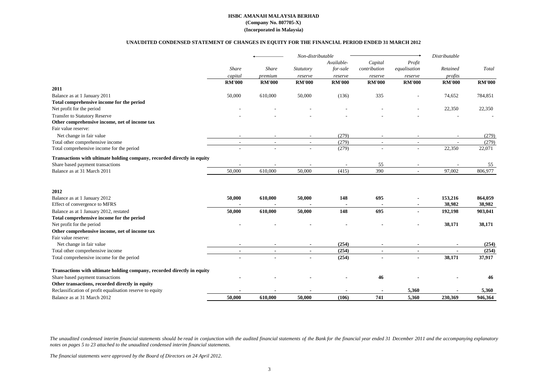### **UNAUDITED CONDENSED STATEMENT OF CHANGES IN EQUITY FOR THE FINANCIAL PERIOD ENDED 31 MARCH 2012**

|                                                                               |                          |               | Non-distributable   |                |                |                          | Distributable            |                 |
|-------------------------------------------------------------------------------|--------------------------|---------------|---------------------|----------------|----------------|--------------------------|--------------------------|-----------------|
|                                                                               |                          |               |                     | Available-     | Capital        | Profit                   |                          |                 |
|                                                                               | Share                    | Share         | Statutory           | for-sale       | contribution   | equalisation             | Retained                 | Total           |
|                                                                               | capital                  | premium       | reserve             | reserve        | reserve        | reserve                  | profits                  |                 |
|                                                                               | <b>RM'000</b>            | <b>RM'000</b> | <b>RM'000</b>       | <b>RM'000</b>  | <b>RM'000</b>  | <b>RM'000</b>            | <b>RM'000</b>            | <b>RM'000</b>   |
| 2011                                                                          |                          |               |                     |                |                |                          |                          |                 |
| Balance as at 1 January 2011                                                  | 50,000                   | 610,000       | 50,000              | (136)          | 335            |                          | 74,652                   | 784,851         |
| Total comprehensive income for the period                                     |                          |               |                     |                |                |                          |                          |                 |
| Net profit for the period                                                     |                          |               |                     |                |                |                          | 22,350                   | 22,350          |
| <b>Transfer to Statutory Reserve</b>                                          |                          |               |                     |                |                |                          |                          |                 |
| Other comprehensive income, net of income tax                                 |                          |               |                     |                |                |                          |                          |                 |
| Fair value reserve:                                                           |                          |               |                     |                |                |                          |                          |                 |
| Net change in fair value                                                      |                          |               |                     | (279)          |                |                          | $\overline{\phantom{a}}$ | (279)           |
| Total other comprehensive income<br>Total comprehensive income for the period | $\sim$                   | $\sim$        | $\blacksquare$<br>٠ | (279)<br>(279) | $\sim$         | $\blacksquare$           | $\sim$<br>22,350         | (279)<br>22,071 |
|                                                                               |                          |               |                     |                |                |                          |                          |                 |
| Transactions with ultimate holding company, recorded directly in equity       |                          |               |                     |                |                |                          |                          |                 |
| Share based payment transactions                                              |                          |               |                     |                | 55             |                          |                          | 55              |
| Balance as at 31 March 2011                                                   | 50,000                   | 610,000       | 50,000              | (415)          | 390            |                          | 97,002                   | 806,977         |
|                                                                               |                          |               |                     |                |                |                          |                          |                 |
| 2012                                                                          |                          |               |                     |                |                |                          |                          |                 |
| Balance as at 1 January 2012                                                  | 50,000                   | 610,000       | 50,000              | 148            | 695            |                          | 153,216                  | 864,059         |
| Effect of convergence to MFRS                                                 |                          |               |                     |                |                |                          | 38,982                   | 38,982          |
| Balance as at 1 January 2012, restated                                        | 50,000                   | 610,000       | 50,000              | 148            | 695            | $\overline{\phantom{a}}$ | 192,198                  | 903,041         |
| Total comprehensive income for the period                                     |                          |               |                     |                |                |                          |                          |                 |
| Net profit for the period                                                     |                          |               |                     |                |                |                          | 38,171                   | 38,171          |
| Other comprehensive income, net of income tax                                 |                          |               |                     |                |                |                          |                          |                 |
| Fair value reserve:                                                           |                          |               |                     |                |                |                          |                          |                 |
| Net change in fair value                                                      |                          |               |                     | (254)          |                |                          |                          | (254)           |
| Total other comprehensive income                                              | $\overline{\phantom{a}}$ |               | $\blacksquare$      | (254)          | $\blacksquare$ | $\blacksquare$           |                          | (254)           |
| Total comprehensive income for the period                                     |                          |               |                     | (254)          |                | $\blacksquare$           | 38,171                   | 37,917          |
| Transactions with ultimate holding company, recorded directly in equity       |                          |               |                     |                |                |                          |                          |                 |
| Share based payment transactions                                              |                          |               |                     |                | 46             |                          |                          | 46              |
| Other transactions, recorded directly in equity                               |                          |               |                     |                |                |                          |                          |                 |
| Reclassification of profit equalisation reserve to equity                     |                          |               |                     |                |                | 5,360                    |                          | 5,360           |
| Balance as at 31 March 2012                                                   | 50,000                   | 610.000       | 50,000              | (106)          | 741            | 5.360                    | 230.369                  | 946.364         |

The unaudited condensed interim financial statements should be read in conjunction with the audited financial statements of the Bank for the financial year ended 31 December 2011 and the accompanying explanatory *notes on pages 5 to 23 attached to the unaudited condensed interim financial statements.*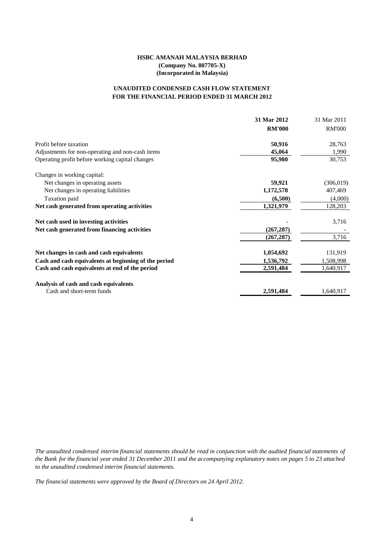# **FOR THE FINANCIAL PERIOD ENDED 31 MARCH 2012 UNAUDITED CONDENSED CASH FLOW STATEMENT**

|                                                      | 31 Mar 2012   | 31 Mar 2011   |
|------------------------------------------------------|---------------|---------------|
|                                                      | <b>RM'000</b> | <b>RM'000</b> |
| Profit before taxation                               | 50,916        | 28,763        |
| Adjustments for non-operating and non-cash items     | 45,064        | 1,990         |
| Operating profit before working capital changes      | 95,980        | 30,753        |
| Changes in working capital:                          |               |               |
| Net changes in operating assets                      | 59,921        | (306, 019)    |
| Net changes in operating liabilities                 | 1,172,578     | 407,469       |
| Taxation paid                                        | (6,500)       | (4,000)       |
| Net cash generated from operating activities         | 1,321,979     | 128,203       |
| Net cash used in investing activities                |               | 3,716         |
| Net cash generated from financing activities         | (267, 287)    |               |
|                                                      | (267, 287)    | 3,716         |
| Net changes in cash and cash equivalents             | 1,054,692     | 131,919       |
| Cash and cash equivalents at beginning of the period | 1,536,792     | 1,508,998     |
| Cash and cash equivalents at end of the period       | 2,591,484     | 1,640,917     |
| Analysis of cash and cash equivalents                |               |               |
| Cash and short-term funds                            | 2,591,484     | 1,640,917     |

The unaudited condensed interim financial statements should be read in conjunction with the audited financial statements of the Bank for the financial year ended 31 December 2011 and the accompanying explanatory notes on pages 5 to 23 attached *to the unaudited condensed interim financial statements.*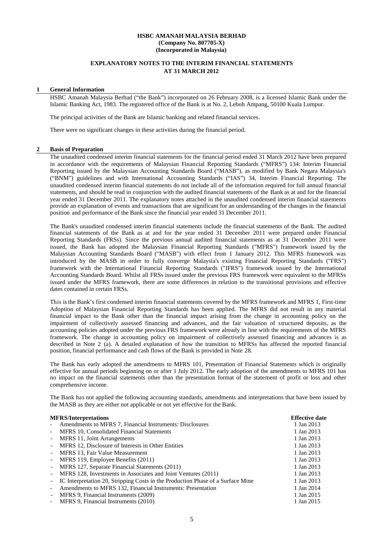# **EXPLANATORY NOTES TO THE INTERIM FINANCIAL STATEMENTS AT 31 MARCH 2012**

### **1 General Information**

HSBC Amanah Malaysia Berhad ("the Bank") incorporated on 26 February 2008, is a licensed Islamic Bank under the Islamic Banking Act, 1983. The registered office of the Bank is at No. 2, Leboh Ampang, 50100 Kuala Lumpur.

The principal activities of the Bank are Islamic banking and related financial services.

There were no significant changes in these activities during the financial period.

### **2 Basis of Preparation**

The unaudited condensed interim financial statements for the financial period ended 31 March 2012 have been prepared in accordance with the requirements of Malaysian Financial Reporting Standards ("MFRS") 134: Interim Financial Reporting issued by the Malaysian Accounting Standards Board ("MASB"), as modified by Bank Negara Malaysia's ("BNM") guidelines and with International Accounting Standards ("IAS") 34, Interim Financial Reporting. The unaudited condensed interim financial statements do not include all of the information required for full annual financial statements, and should be read in conjunction with the audited financial statements of the Bank as at and for the financial year ended 31 December 2011. The explanatory notes attached in the unaudited condensed interim financial statements provide an explanation of events and transactions that are significant for an understanding of the changes in the financial position and performance of the Bank since the financial year ended 31 December 2011.

The Bank's unaudited condensed interim financial statements include the financial statements of the Bank. The audited financial statements of the Bank as at and for the year ended 31 December 2011 were prepared under Financial Reporting Standards (FRSs). Since the previous annual audited financial statements as at 31 December 2011 were issued, the Bank has adopted the Malaysian Financial Reporting Standards ("MFRS") framework issued by the Malaysian Accounting Standards Board ("MASB") with effect from 1 January 2012. This MFRS framework was introduced by the MASB in order to fully converge Malaysia's existing Financial Reporting Standards ("FRS") framework with the International Financial Reporting Standards ("IFRS") framework issued by the International Accounting Standards Board. Whilst all FRSs issued under the previous FRS framework were equivalent to the MFRSs issued under the MFRS framework, there are some differences in relation to the transitional provisions and effective dates contained in certain FRSs.

This isthe Bank's first condensed interim financial statements covered by the MFRS framework and MFRS 1, First-time Adoption of Malaysian Financial Reporting Standards has been applied. The MFRS did not result in any material financial impact to the Bank other than the financial impact arising from the change in accounting policy on the impairment of collectively assessed financing and advances, and the fair valuation of structured deposits, as the accounting policies adopted under the previous FRS framework were already in line with the requirements of the MFRS framework. The change in accounting policy on impairment of collectively assessed financing and advances is as described in Note 2 (a). A detailed explanation of how the transition to MFRSs has affected the reported financial position, financial performance and cash flows of the Bank is provided in Note 28.

The Bank has early adopted the amendments to MFRS 101, Presentation of Financial Statements which is originally effective for annual periods beginning on or after 1 July 2012. The early adoption of the amendments to MFRS 101 has no impact on the financial statements other than the presentation format of the statement of profit or loss and other comprehensive income.

The Bank has not applied the following accounting standards, amendments and interpretations that have been issued by the MASB as they are either not applicable or not yet effective for the Bank.

|                          | <b>MFRS/Interpretations</b>                                                     | <b>Effective date</b> |
|--------------------------|---------------------------------------------------------------------------------|-----------------------|
|                          | Amendments to MFRS 7, Financial Instruments: Disclosures                        | 1 Jan 2013            |
| $\overline{\phantom{a}}$ | MFRS 10, Consolidated Financial Statements                                      | 1 Jan 2013            |
| $\sim$                   | MFRS 11, Joint Arrangements                                                     | 1 Jan 2013            |
| $\blacksquare$           | MFRS 12, Disclosure of Interests in Other Entities                              | 1 Jan 2013            |
| $\blacksquare$           | MFRS 13, Fair Value Measurement                                                 | 1 Jan 2013            |
| $\sim$                   | MFRS 119, Employee Benefits (2011)                                              | 1 Jan 2013            |
| $\overline{\phantom{a}}$ | MFRS 127, Separate Financial Statements (2011)                                  | 1 Jan 2013            |
| $\blacksquare$           | MFRS 128, Investments in Associates and Joint Ventures (2011)                   | 1 Jan 2013            |
| $\sim$                   | IC Interpretation 20, Stripping Costs in the Production Phase of a Surface Mine | 1 Jan 2013            |
| $\overline{\phantom{a}}$ | Amendments to MFRS 132, Financial Instruments: Presentation                     | 1 Jan 2014            |
| $\sim$ 10 $\pm$          | MFRS 9, Financial Instruments (2009)                                            | 1 Jan 2015            |
| $\blacksquare$           | MFRS 9, Financial Instruments (2010)                                            | 1 Jan 2015            |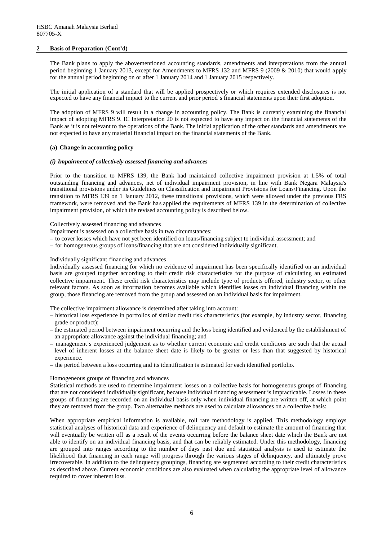### **2 Basis of Preparation (Cont'd)**

The Bank plans to apply the abovementioned accounting standards, amendments and interpretations from the annual period beginning 1 January 2013, except for Amendments to MFRS 132 and MFRS 9 (2009 & 2010) that would apply for the annual period beginning on or after 1 January 2014 and 1 January 2015 respectively.

The initial application of a standard that will be applied prospectively or which requires extended disclosures is not expected to have any financial impact to the current and prior period's financial statements upon their first adoption.

The adoption of MFRS 9 will result in a change in accounting policy. The Bank is currently examining the financial impact of adopting MFRS 9. IC Interpretation 20 is not expected to have any impact on the financial statements of the Bank as it is not relevant to the operations of the Bank. The initial application of the other standards and amendments are not expected to have any material financial impact on the financial statements of the Bank.

## **(a) Change in accounting policy**

### *(i) Impairment of collectively assessed financing and advances*

Prior to the transition to MFRS 139, the Bank had maintained collective impairment provision at 1.5% of total outstanding financing and advances, net of individual impairment provision, in line with Bank Negara Malaysia's transitional provisions under its Guidelines on Classification and Impairment Provisions for Loans/Financing. Upon the transition to MFRS 139 on 1 January 2012, these transitional provisions, which were allowed under the previous FRS framework, were removed and the Bank has applied the requirements of MFRS 139 in the determination of collective impairment provision, of which the revised accounting policy is described below.

### Collectively assessed financing and advances

Impairment is assessed on a collective basis in two circumstances:

- to cover losses which have not yet been identified on loans/financing subject to individual assessment; and
- for homogeneous groups of loans/financing that are not considered individually significant.

### Individually significant financing and advances

Individually assessed financing for which no evidence of impairment has been specifically identified on an individual basis are grouped together according to their credit risk characteristics for the purpose of calculating an estimated collective impairment. These credit risk characteristics may include type of products offered, industry sector, or other relevant factors. As soon as information becomes available which identifies losses on individual financing within the group, those financing are removed from the group and assessed on an individual basis for impairment.

The collective impairment allowance is determined after taking into account:

- historical loss experience in portfolios of similar credit risk characteristics (for example, by industry sector, financing grade or product);
- the estimated period between impairment occurring and the loss being identified and evidenced by the establishment of an appropriate allowance against the individual financing; and
- management's experienced judgement as to whether current economic and credit conditions are such that the actual level of inherent losses at the balance sheet date is likely to be greater or less than that suggested by historical experience.
- the period between a loss occurring and its identification is estimated for each identified portfolio.

### Homogeneous groups of financing and advances

Statistical methods are used to determine impairment losses on a collective basis for homogeneous groups of financing that are not considered individually significant, because individual financing assessment is impracticable. Losses in these groups of financing are recorded on an individual basis only when individual financing are written off, at which point they are removed from the group. Two alternative methods are used to calculate allowances on a collective basis:

When appropriate empirical information is available, roll rate methodology is applied. This methodology employs statistical analyses of historical data and experience of delinquency and default to estimate the amount of financing that will eventually be written off as a result of the events occurring before the balance sheet date which the Bank are not able to identify on an individual financing basis, and that can be reliably estimated. Under this methodology, financing are grouped into ranges according to the number of days past due and statistical analysis is used to estimate the likelihood that financing in each range will progress through the various stages of delinquency, and ultimately prove irrecoverable. In addition to the delinquency groupings, financing are segmented according to their credit characteristics as described above. Current economic conditions are also evaluated when calculating the appropriate level of allowance required to cover inherent loss.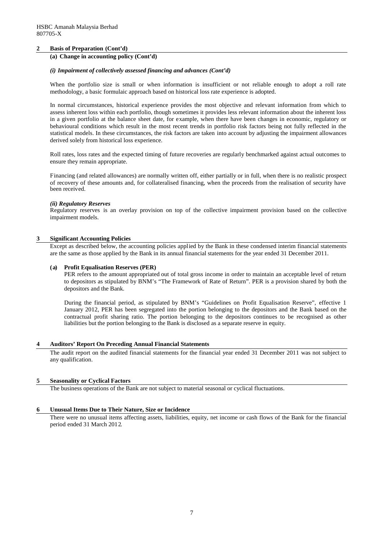## **2 Basis of Preparation (Cont'd)**

## **(a) Change in accounting policy (Cont'd)**

### *(i) Impairment of collectively assessed financing and advances (Cont'd)*

When the portfolio size is small or when information is insufficient or not reliable enough to adopt a roll rate methodology, a basic formulaic approach based on historical loss rate experience is adopted.

In normal circumstances, historical experience provides the most objective and relevant information from which to assess inherent loss within each portfolio, though sometimes it provides less relevant information about the inherent loss in a given portfolio at the balance sheet date, for example, when there have been changes in economic, regulatory or behavioural conditions which result in the most recent trends in portfolio risk factors being not fully reflected in the statistical models. In these circumstances, the risk factors are taken into account by adjusting the impairment allowances derived solely from historical loss experience.

Roll rates, loss rates and the expected timing of future recoveries are regularly benchmarked against actual outcomes to ensure they remain appropriate.

Financing (and related allowances) are normally written off, either partially or in full, when there is no realistic prospect of recovery of these amounts and, for collateralised financing, when the proceeds from the realisation of security have been received.

### *(ii) Regulatory Reserves*

Regulatory reserves is an overlay provision on top of the collective impairment provision based on the collective impairment models.

## **3 Significant Accounting Policies**

Except as described below, the accounting policies applied by the Bank in these condensed interim financial statements are the same as those applied by the Bank in its annual financial statements for the year ended 31 December 2011.

### **(a) Profit Equalisation Reserves (PER)**

PER refers to the amount appropriated out of total gross income in order to maintain an acceptable level of return to depositors as stipulated by BNM's "The Framework of Rate of Return". PER is a provision shared by both the depositors and the Bank.

During the financial period, as stipulated by BNM's "Guidelines on Profit Equalisation Reserve", effective 1 January 2012, PER has been segregated into the portion belonging to the depositors and the Bank based on the contractual profit sharing ratio. The portion belonging to the depositors continues to be recognised as other liabilities but the portion belonging to the Bank is disclosed as a separate reserve in equity.

### **4 Auditors' Report On Preceding Annual Financial Statements**

The audit report on the audited financial statements for the financial year ended 31 December 2011 was not subject to any qualification.

## **5 Seasonality or Cyclical Factors**

The business operations of the Bank are not subject to material seasonal or cyclical fluctuations.

### **6 Unusual Items Due to Their Nature, Size or Incidence**

There were no unusual items affecting assets, liabilities, equity, net income or cash flows of the Bank for the financial period ended 31 March 2012.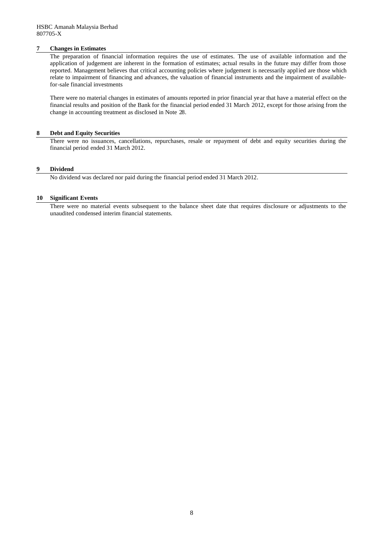## **7 Changes in Estimates**

The preparation of financial information requires the use of estimates. The use of available information and the application of judgement are inherent in the formation of estimates; actual results in the future may differ from those reported. Management believes that critical accounting policies where judgement is necessarily applied are those which relate to impairment of financing and advances, the valuation of financial instruments and the impairment of availablefor-sale financial investments

There were no material changes in estimates of amounts reported in prior financial year that have a material effect on the financial results and position of the Bank for the financial period ended 31 March 2012, except for those arising from the change in accounting treatment as disclosed in Note 28.

### **8 Debt and Equity Securities**

There were no issuances, cancellations, repurchases, resale or repayment of debt and equity securities during the financial period ended 31 March 2012.

## **9 Dividend**

No dividend was declared nor paid during the financial period ended 31 March 2012.

## **10 Significant Events**

There were no material events subsequent to the balance sheet date that requires disclosure or adjustments to the unaudited condensed interim financial statements.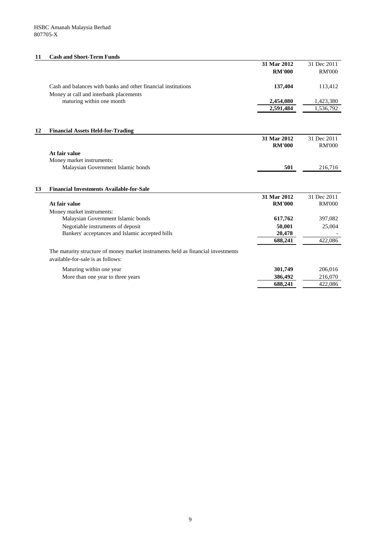### **11 Cash and Short-Term Funds**

|                                                                     | 31 Mar 2012<br><b>RM'000</b> | 31 Dec 2011<br><b>RM'000</b> |
|---------------------------------------------------------------------|------------------------------|------------------------------|
| Cash and balances with banks and other financial institutions       | 137,404                      | 113,412                      |
| Money at call and interbank placements<br>maturing within one month | 2,454,080                    | 1,423,380                    |
|                                                                     | 2,591,484                    | 1,536,792                    |

| 12 | <b>Financial Assets Held-for-Trading</b> |               |               |
|----|------------------------------------------|---------------|---------------|
|    |                                          | 31 Mar 2012   | 31 Dec 2011   |
|    |                                          | <b>RM'000</b> | <b>RM'000</b> |
|    | At fair value                            |               |               |
|    | Money market instruments:                |               |               |
|    | Malaysian Government Islamic bonds       | 501           | 216,716       |

# **13 Financial Investments Available-for-Sale 31 Mar 2012** 31 Dec 2011 **At fair value RM'000** RM'000 Money market instruments: Malaysian Government Islamic bonds **617,762** 397,082 Negotiable instruments of deposit **50,001** 25,004<br>Bankers' acceptances and Islamic accepted bills **20,478** 20,478 Bankers' acceptances and Islamic accepted bills **688,241** 422,086 The maturity structure of money market instruments held as financial investments available-for-sale is as follows:

| Maturing within one year          | 301.749 | 206,016 |
|-----------------------------------|---------|---------|
| More than one year to three years | 386,492 | 216.070 |
|                                   | 688.241 | 422,086 |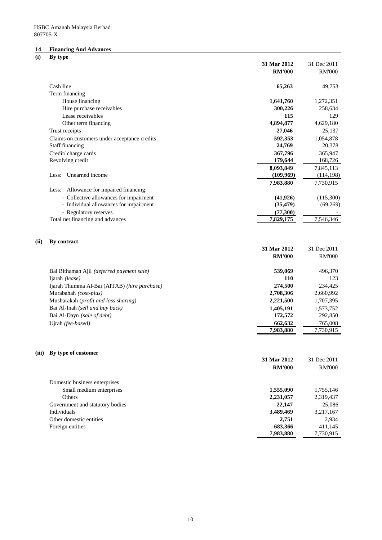# **14 Financing And Advances**

# **(i) By type**

|       | $\boldsymbol{\mathsf{v}}$<br>$\mathbf{v}$ $\mathbf{r}$ | 31 Mar 2012          | 31 Dec 2011          |
|-------|--------------------------------------------------------|----------------------|----------------------|
|       |                                                        | <b>RM'000</b>        | <b>RM'000</b>        |
|       | Cash line                                              | 65,263               | 49,753               |
|       | Term financing                                         |                      |                      |
|       | House financing                                        | 1,641,760            | 1,272,351            |
|       | Hire purchase receivables                              | 300,226              | 258,634              |
|       | Lease receivables                                      | 115                  | 129                  |
|       | Other term financing                                   | 4,894,877            | 4,629,180            |
|       | Trust receipts                                         | 27,046               | 25,137               |
|       | Claims on customers under acceptance credits           | 592,353              | 1,054,878            |
|       | Staff financing                                        | 24,769               | 20,378               |
|       | Credit/charge cards                                    | 367,796              | 365,947              |
|       | Revolving credit                                       | 179,644              | 168,726              |
|       |                                                        | 8,093,849            | 7,845,113            |
|       | Unearned income<br>Less:                               | (109,969)            | (114, 198)           |
|       |                                                        | 7,983,880            | 7,730,915            |
|       | Less: Allowance for impaired financing:                |                      |                      |
|       | - Collective allowances for impairment                 | (41, 926)            | (115,300)            |
|       | - Individual allowances for impairment                 | (35, 479)            | (69,269)             |
|       | - Regulatory reserves                                  | (77, 300)            |                      |
|       | Total net financing and advances                       | 7,829,175            | 7,546,346            |
| (ii)  | By contract                                            |                      |                      |
|       |                                                        | 31 Mar 2012          | 31 Dec 2011          |
|       |                                                        | <b>RM'000</b>        | <b>RM'000</b>        |
|       | Bai Bithaman Ajil (deferred payment sale)              | 539,069              | 496,370              |
|       | Ijarah (lease)                                         | 110                  | 123                  |
|       | Ijarah Thumma Al-Bai (AITAB) (hire purchase)           | 274,500              | 234,425              |
|       | Murabahah (cost-plus)                                  | 2,708,306            | 2,660,992            |
|       | Musharakah (profit and loss sharing)                   | 2,221,500            | 1,707,395            |
|       | Bai Al-Inah (sell and buy back)                        | 1,405,191            | 1,573,752            |
|       | Bai Al-Dayn (sale of debt)                             | 172,572              | 292,850              |
|       | Ujrah (fee-based)                                      | 662,632              | 765,008              |
|       |                                                        | 7,983,880            | 7,730,915            |
| (iii) | By type of customer                                    |                      |                      |
|       |                                                        | 31 Mar 2012          | 31 Dec 2011          |
|       |                                                        | <b>RM'000</b>        | <b>RM'000</b>        |
|       | Domestic business enterprises                          |                      |                      |
|       | Small medium enterprises                               | 1,555,090            | 1,755,146            |
|       | Others                                                 | 2,231,057            | 2,319,437            |
|       | Government and statutory bodies                        | 22,147               | 25,086               |
|       | Individuals                                            | 3,489,469            | 3,217,167            |
|       | Other domestic entities                                | 2,751                | 2,934                |
|       | Foreign entities                                       | 683,366<br>7,983,880 | 411,145<br>7,730,915 |
|       |                                                        |                      |                      |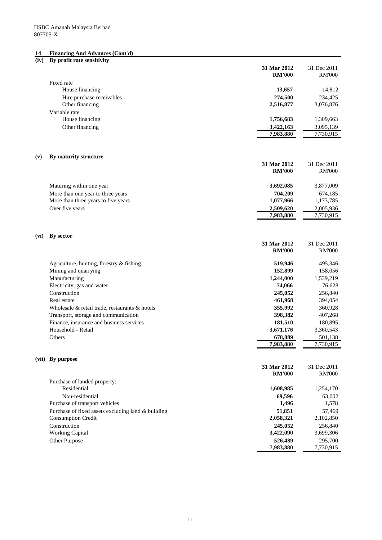### **14 Financing And Advances (Cont'd)**

## **(iv) By profit rate sensitivity**

| Fixed rate<br>House financing<br>13,657<br>14,812<br>Hire purchase receivables<br>274,500<br>234,425<br>Other financing<br>2,516,877<br>3,076,876<br>Variable rate<br>House financing<br>1,756,683<br>1,309,663<br>Other financing<br>3,422,163<br>3,095,139<br>7,983,880<br>7,730,915<br>By maturity structure<br>31 Mar 2012<br>31 Dec 2011<br><b>RM'000</b><br><b>RM'000</b><br>Maturing within one year<br>3,692,085<br>3,877,009<br>More than one year to three years<br>704,209<br>674,185<br>More than three years to five years<br>1,077,966<br>1,173,785<br>Over five years<br>2,509,620<br>2,005,936<br>7,983,880<br>7,730,915<br>By sector<br>31 Mar 2012<br>31 Dec 2011<br><b>RM'000</b><br><b>RM'000</b><br>Agriculture, hunting, forestry & fishing<br>519,946<br>495,346<br>Mining and quarrying<br>152,899<br>158,056<br>Manufacturing<br>1,244,000<br>1,539,219<br>Electricity, gas and water<br>76,628<br>74,066<br>Construction<br>245,052<br>256,840<br>Real estate<br>461,968<br>394,054<br>355,992<br>Wholesale & retail trade, restaurants & hotels<br>360,928<br>Transport, storage and communication<br>398,382<br>407,268<br>Finance, insurance and business services<br>181,510<br>180,895<br>Household - Retail<br>3,671,176<br>3,360,543<br>Others<br>678,889<br>501,138<br>7,983,880<br>7,730,915<br>(vii) By purpose<br>31 Mar 2012<br>31 Dec 2011<br><b>RM'000</b><br><b>RM'000</b><br>Purchase of landed property:<br>Residential<br>1,608,985<br>1,254,170<br>Non-residential<br>69,596<br>63,002<br>Purchase of transport vehicles<br>1,496<br>1,578<br>Purchase of fixed assets excluding land & building<br>51,851<br>57,469<br><b>Consumption Credit</b><br>2,058,321<br>2,102,850<br>Construction<br>245,052<br>256,840<br><b>Working Capital</b><br>3,422,090<br>3,699,306<br>Other Purpose<br>526,489<br>295,700<br>7,983,880<br>7,730,915 |      | 31 Mar 2012<br><b>RM'000</b> | 31 Dec 2011<br><b>RM'000</b> |
|-------------------------------------------------------------------------------------------------------------------------------------------------------------------------------------------------------------------------------------------------------------------------------------------------------------------------------------------------------------------------------------------------------------------------------------------------------------------------------------------------------------------------------------------------------------------------------------------------------------------------------------------------------------------------------------------------------------------------------------------------------------------------------------------------------------------------------------------------------------------------------------------------------------------------------------------------------------------------------------------------------------------------------------------------------------------------------------------------------------------------------------------------------------------------------------------------------------------------------------------------------------------------------------------------------------------------------------------------------------------------------------------------------------------------------------------------------------------------------------------------------------------------------------------------------------------------------------------------------------------------------------------------------------------------------------------------------------------------------------------------------------------------------------------------------------------------------------------------------------------------------------|------|------------------------------|------------------------------|
|                                                                                                                                                                                                                                                                                                                                                                                                                                                                                                                                                                                                                                                                                                                                                                                                                                                                                                                                                                                                                                                                                                                                                                                                                                                                                                                                                                                                                                                                                                                                                                                                                                                                                                                                                                                                                                                                                     |      |                              |                              |
|                                                                                                                                                                                                                                                                                                                                                                                                                                                                                                                                                                                                                                                                                                                                                                                                                                                                                                                                                                                                                                                                                                                                                                                                                                                                                                                                                                                                                                                                                                                                                                                                                                                                                                                                                                                                                                                                                     |      |                              |                              |
|                                                                                                                                                                                                                                                                                                                                                                                                                                                                                                                                                                                                                                                                                                                                                                                                                                                                                                                                                                                                                                                                                                                                                                                                                                                                                                                                                                                                                                                                                                                                                                                                                                                                                                                                                                                                                                                                                     |      |                              |                              |
|                                                                                                                                                                                                                                                                                                                                                                                                                                                                                                                                                                                                                                                                                                                                                                                                                                                                                                                                                                                                                                                                                                                                                                                                                                                                                                                                                                                                                                                                                                                                                                                                                                                                                                                                                                                                                                                                                     |      |                              |                              |
|                                                                                                                                                                                                                                                                                                                                                                                                                                                                                                                                                                                                                                                                                                                                                                                                                                                                                                                                                                                                                                                                                                                                                                                                                                                                                                                                                                                                                                                                                                                                                                                                                                                                                                                                                                                                                                                                                     |      |                              |                              |
|                                                                                                                                                                                                                                                                                                                                                                                                                                                                                                                                                                                                                                                                                                                                                                                                                                                                                                                                                                                                                                                                                                                                                                                                                                                                                                                                                                                                                                                                                                                                                                                                                                                                                                                                                                                                                                                                                     |      |                              |                              |
|                                                                                                                                                                                                                                                                                                                                                                                                                                                                                                                                                                                                                                                                                                                                                                                                                                                                                                                                                                                                                                                                                                                                                                                                                                                                                                                                                                                                                                                                                                                                                                                                                                                                                                                                                                                                                                                                                     |      |                              |                              |
|                                                                                                                                                                                                                                                                                                                                                                                                                                                                                                                                                                                                                                                                                                                                                                                                                                                                                                                                                                                                                                                                                                                                                                                                                                                                                                                                                                                                                                                                                                                                                                                                                                                                                                                                                                                                                                                                                     |      |                              |                              |
|                                                                                                                                                                                                                                                                                                                                                                                                                                                                                                                                                                                                                                                                                                                                                                                                                                                                                                                                                                                                                                                                                                                                                                                                                                                                                                                                                                                                                                                                                                                                                                                                                                                                                                                                                                                                                                                                                     | (v)  |                              |                              |
|                                                                                                                                                                                                                                                                                                                                                                                                                                                                                                                                                                                                                                                                                                                                                                                                                                                                                                                                                                                                                                                                                                                                                                                                                                                                                                                                                                                                                                                                                                                                                                                                                                                                                                                                                                                                                                                                                     |      |                              |                              |
|                                                                                                                                                                                                                                                                                                                                                                                                                                                                                                                                                                                                                                                                                                                                                                                                                                                                                                                                                                                                                                                                                                                                                                                                                                                                                                                                                                                                                                                                                                                                                                                                                                                                                                                                                                                                                                                                                     |      |                              |                              |
|                                                                                                                                                                                                                                                                                                                                                                                                                                                                                                                                                                                                                                                                                                                                                                                                                                                                                                                                                                                                                                                                                                                                                                                                                                                                                                                                                                                                                                                                                                                                                                                                                                                                                                                                                                                                                                                                                     |      |                              |                              |
|                                                                                                                                                                                                                                                                                                                                                                                                                                                                                                                                                                                                                                                                                                                                                                                                                                                                                                                                                                                                                                                                                                                                                                                                                                                                                                                                                                                                                                                                                                                                                                                                                                                                                                                                                                                                                                                                                     |      |                              |                              |
|                                                                                                                                                                                                                                                                                                                                                                                                                                                                                                                                                                                                                                                                                                                                                                                                                                                                                                                                                                                                                                                                                                                                                                                                                                                                                                                                                                                                                                                                                                                                                                                                                                                                                                                                                                                                                                                                                     |      |                              |                              |
|                                                                                                                                                                                                                                                                                                                                                                                                                                                                                                                                                                                                                                                                                                                                                                                                                                                                                                                                                                                                                                                                                                                                                                                                                                                                                                                                                                                                                                                                                                                                                                                                                                                                                                                                                                                                                                                                                     |      |                              |                              |
|                                                                                                                                                                                                                                                                                                                                                                                                                                                                                                                                                                                                                                                                                                                                                                                                                                                                                                                                                                                                                                                                                                                                                                                                                                                                                                                                                                                                                                                                                                                                                                                                                                                                                                                                                                                                                                                                                     |      |                              |                              |
|                                                                                                                                                                                                                                                                                                                                                                                                                                                                                                                                                                                                                                                                                                                                                                                                                                                                                                                                                                                                                                                                                                                                                                                                                                                                                                                                                                                                                                                                                                                                                                                                                                                                                                                                                                                                                                                                                     | (vi) |                              |                              |
|                                                                                                                                                                                                                                                                                                                                                                                                                                                                                                                                                                                                                                                                                                                                                                                                                                                                                                                                                                                                                                                                                                                                                                                                                                                                                                                                                                                                                                                                                                                                                                                                                                                                                                                                                                                                                                                                                     |      |                              |                              |
|                                                                                                                                                                                                                                                                                                                                                                                                                                                                                                                                                                                                                                                                                                                                                                                                                                                                                                                                                                                                                                                                                                                                                                                                                                                                                                                                                                                                                                                                                                                                                                                                                                                                                                                                                                                                                                                                                     |      |                              |                              |
|                                                                                                                                                                                                                                                                                                                                                                                                                                                                                                                                                                                                                                                                                                                                                                                                                                                                                                                                                                                                                                                                                                                                                                                                                                                                                                                                                                                                                                                                                                                                                                                                                                                                                                                                                                                                                                                                                     |      |                              |                              |
|                                                                                                                                                                                                                                                                                                                                                                                                                                                                                                                                                                                                                                                                                                                                                                                                                                                                                                                                                                                                                                                                                                                                                                                                                                                                                                                                                                                                                                                                                                                                                                                                                                                                                                                                                                                                                                                                                     |      |                              |                              |
|                                                                                                                                                                                                                                                                                                                                                                                                                                                                                                                                                                                                                                                                                                                                                                                                                                                                                                                                                                                                                                                                                                                                                                                                                                                                                                                                                                                                                                                                                                                                                                                                                                                                                                                                                                                                                                                                                     |      |                              |                              |
|                                                                                                                                                                                                                                                                                                                                                                                                                                                                                                                                                                                                                                                                                                                                                                                                                                                                                                                                                                                                                                                                                                                                                                                                                                                                                                                                                                                                                                                                                                                                                                                                                                                                                                                                                                                                                                                                                     |      |                              |                              |
|                                                                                                                                                                                                                                                                                                                                                                                                                                                                                                                                                                                                                                                                                                                                                                                                                                                                                                                                                                                                                                                                                                                                                                                                                                                                                                                                                                                                                                                                                                                                                                                                                                                                                                                                                                                                                                                                                     |      |                              |                              |
|                                                                                                                                                                                                                                                                                                                                                                                                                                                                                                                                                                                                                                                                                                                                                                                                                                                                                                                                                                                                                                                                                                                                                                                                                                                                                                                                                                                                                                                                                                                                                                                                                                                                                                                                                                                                                                                                                     |      |                              |                              |
|                                                                                                                                                                                                                                                                                                                                                                                                                                                                                                                                                                                                                                                                                                                                                                                                                                                                                                                                                                                                                                                                                                                                                                                                                                                                                                                                                                                                                                                                                                                                                                                                                                                                                                                                                                                                                                                                                     |      |                              |                              |
|                                                                                                                                                                                                                                                                                                                                                                                                                                                                                                                                                                                                                                                                                                                                                                                                                                                                                                                                                                                                                                                                                                                                                                                                                                                                                                                                                                                                                                                                                                                                                                                                                                                                                                                                                                                                                                                                                     |      |                              |                              |
|                                                                                                                                                                                                                                                                                                                                                                                                                                                                                                                                                                                                                                                                                                                                                                                                                                                                                                                                                                                                                                                                                                                                                                                                                                                                                                                                                                                                                                                                                                                                                                                                                                                                                                                                                                                                                                                                                     |      |                              |                              |
|                                                                                                                                                                                                                                                                                                                                                                                                                                                                                                                                                                                                                                                                                                                                                                                                                                                                                                                                                                                                                                                                                                                                                                                                                                                                                                                                                                                                                                                                                                                                                                                                                                                                                                                                                                                                                                                                                     |      |                              |                              |
|                                                                                                                                                                                                                                                                                                                                                                                                                                                                                                                                                                                                                                                                                                                                                                                                                                                                                                                                                                                                                                                                                                                                                                                                                                                                                                                                                                                                                                                                                                                                                                                                                                                                                                                                                                                                                                                                                     |      |                              |                              |
|                                                                                                                                                                                                                                                                                                                                                                                                                                                                                                                                                                                                                                                                                                                                                                                                                                                                                                                                                                                                                                                                                                                                                                                                                                                                                                                                                                                                                                                                                                                                                                                                                                                                                                                                                                                                                                                                                     |      |                              |                              |
|                                                                                                                                                                                                                                                                                                                                                                                                                                                                                                                                                                                                                                                                                                                                                                                                                                                                                                                                                                                                                                                                                                                                                                                                                                                                                                                                                                                                                                                                                                                                                                                                                                                                                                                                                                                                                                                                                     |      |                              |                              |
|                                                                                                                                                                                                                                                                                                                                                                                                                                                                                                                                                                                                                                                                                                                                                                                                                                                                                                                                                                                                                                                                                                                                                                                                                                                                                                                                                                                                                                                                                                                                                                                                                                                                                                                                                                                                                                                                                     |      |                              |                              |
|                                                                                                                                                                                                                                                                                                                                                                                                                                                                                                                                                                                                                                                                                                                                                                                                                                                                                                                                                                                                                                                                                                                                                                                                                                                                                                                                                                                                                                                                                                                                                                                                                                                                                                                                                                                                                                                                                     |      |                              |                              |
|                                                                                                                                                                                                                                                                                                                                                                                                                                                                                                                                                                                                                                                                                                                                                                                                                                                                                                                                                                                                                                                                                                                                                                                                                                                                                                                                                                                                                                                                                                                                                                                                                                                                                                                                                                                                                                                                                     |      |                              |                              |
|                                                                                                                                                                                                                                                                                                                                                                                                                                                                                                                                                                                                                                                                                                                                                                                                                                                                                                                                                                                                                                                                                                                                                                                                                                                                                                                                                                                                                                                                                                                                                                                                                                                                                                                                                                                                                                                                                     |      |                              |                              |
|                                                                                                                                                                                                                                                                                                                                                                                                                                                                                                                                                                                                                                                                                                                                                                                                                                                                                                                                                                                                                                                                                                                                                                                                                                                                                                                                                                                                                                                                                                                                                                                                                                                                                                                                                                                                                                                                                     |      |                              |                              |
|                                                                                                                                                                                                                                                                                                                                                                                                                                                                                                                                                                                                                                                                                                                                                                                                                                                                                                                                                                                                                                                                                                                                                                                                                                                                                                                                                                                                                                                                                                                                                                                                                                                                                                                                                                                                                                                                                     |      |                              |                              |
|                                                                                                                                                                                                                                                                                                                                                                                                                                                                                                                                                                                                                                                                                                                                                                                                                                                                                                                                                                                                                                                                                                                                                                                                                                                                                                                                                                                                                                                                                                                                                                                                                                                                                                                                                                                                                                                                                     |      |                              |                              |
|                                                                                                                                                                                                                                                                                                                                                                                                                                                                                                                                                                                                                                                                                                                                                                                                                                                                                                                                                                                                                                                                                                                                                                                                                                                                                                                                                                                                                                                                                                                                                                                                                                                                                                                                                                                                                                                                                     |      |                              |                              |
|                                                                                                                                                                                                                                                                                                                                                                                                                                                                                                                                                                                                                                                                                                                                                                                                                                                                                                                                                                                                                                                                                                                                                                                                                                                                                                                                                                                                                                                                                                                                                                                                                                                                                                                                                                                                                                                                                     |      |                              |                              |
|                                                                                                                                                                                                                                                                                                                                                                                                                                                                                                                                                                                                                                                                                                                                                                                                                                                                                                                                                                                                                                                                                                                                                                                                                                                                                                                                                                                                                                                                                                                                                                                                                                                                                                                                                                                                                                                                                     |      |                              |                              |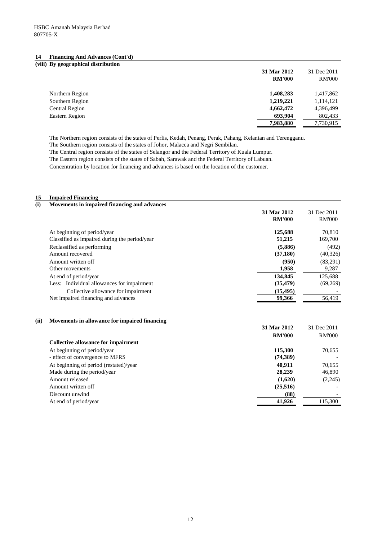| (viii) By geographical distribution |               |               |
|-------------------------------------|---------------|---------------|
|                                     | 31 Mar 2012   | 31 Dec 2011   |
|                                     | <b>RM'000</b> | <b>RM'000</b> |
| Northern Region                     | 1,408,283     | 1,417,862     |
| Southern Region                     | 1,219,221     | 1,114,121     |
| Central Region                      | 4,662,472     | 4,396,499     |
| Eastern Region                      | 693.904       | 802,433       |
|                                     | 7,983,880     | 7,730,915     |

The Northern region consists of the states of Perlis, Kedah, Penang, Perak, Pahang, Kelantan and Terengganu.

The Southern region consists of the states of Johor, Malacca and Negri Sembilan.

The Central region consists of the states of Selangor and the Federal Territory of Kuala Lumpur.

The Eastern region consists of the states of Sabah, Sarawak and the Federal Territory of Labuan.

Concentration by location for financing and advances is based on the location of the customer.

### **15 Impaired Financing**

| Movements in impaired financing and advances  |               |               |
|-----------------------------------------------|---------------|---------------|
|                                               | 31 Mar 2012   | 31 Dec 2011   |
|                                               | <b>RM'000</b> | <b>RM'000</b> |
| At beginning of period/year                   | 125,688       | 70,810        |
| Classified as impaired during the period/year | 51,215        | 169,700       |
| Reclassified as performing                    | (5,886)       | (492)         |
| Amount recovered                              | (37,180)      | (40, 326)     |
| Amount written off                            | (950)         | (83,291)      |
| Other movements                               | 1,958         | 9,287         |
| At end of period/year                         | 134,845       | 125.688       |
| Less: Individual allowances for impairment    | (35, 479)     | (69,269)      |
| Collective allowance for impairment           | (15, 495)     |               |
| Net impaired financing and advances           | 99,366        | 56.419        |
|                                               |               |               |

## **(ii) Movements in allowance for impaired financing**

|                                            | 31 Mar 2012   | 31 Dec 2011   |
|--------------------------------------------|---------------|---------------|
|                                            | <b>RM'000</b> | <b>RM'000</b> |
| <b>Collective allowance for impairment</b> |               |               |
| At beginning of period/year                | 115,300       | 70,655        |
| - effect of convergence to MFRS            | (74,389)      |               |
| At beginning of period (restated)/year     | 40.911        | 70,655        |
| Made during the period/year                | 28,239        | 46,890        |
| Amount released                            | (1,620)       | (2,245)       |
| Amount written off                         | (25,516)      |               |
| Discount unwind                            | (88)          |               |
| At end of period/year                      | 41,926        | 115,300       |
|                                            |               |               |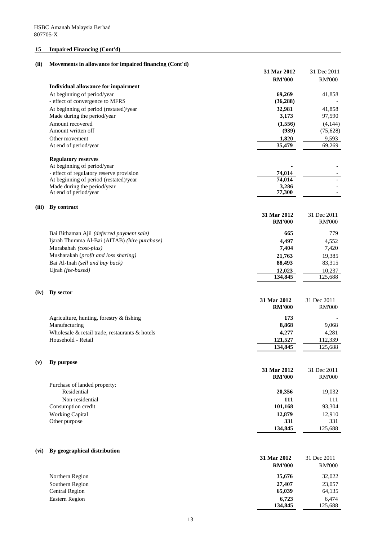# **15 Impaired Financing (Cont'd)**

# **(ii) Movements in allowance for impaired financing (Cont'd)**

|       |                                                                         | 31 Mar 2012         | 31 Dec 2011          |
|-------|-------------------------------------------------------------------------|---------------------|----------------------|
|       |                                                                         | <b>RM'000</b>       | <b>RM'000</b>        |
|       | Individual allowance for impairment                                     |                     |                      |
|       | At beginning of period/year                                             | 69,269              | 41,858               |
|       | - effect of convergence to MFRS                                         | (36, 288)           |                      |
|       | At beginning of period (restated)/year                                  | 32,981              | 41,858               |
|       | Made during the period/year                                             | 3,173               | 97,590               |
|       | Amount recovered<br>Amount written off                                  | (1,556)<br>(939)    | (4,144)<br>(75, 628) |
|       | Other movement                                                          | 1,820               | 9,593                |
|       | At end of period/year                                                   | 35,479              | 69,269               |
|       |                                                                         |                     |                      |
|       | <b>Regulatory reserves</b>                                              |                     |                      |
|       | At beginning of period/year<br>- effect of regulatory reserve provision | 74,014              |                      |
|       | At beginning of period (restated)/year                                  | $\overline{74,014}$ |                      |
|       | Made during the period/year                                             | 3,286               |                      |
|       | At end of period/year                                                   | 77,300              |                      |
| (iii) | By contract                                                             |                     |                      |
|       |                                                                         | 31 Mar 2012         | 31 Dec 2011          |
|       |                                                                         | <b>RM'000</b>       | <b>RM'000</b>        |
|       | Bai Bithaman Ajil (deferred payment sale)                               | 665                 | 779                  |
|       | Ijarah Thumma Al-Bai (AITAB) (hire purchase)                            | 4,497               | 4,552                |
|       | Murabahah (cost-plus)                                                   | 7,404               | 7,420                |
|       | Musharakah (profit and loss sharing)                                    | 21,763              | 19,385               |
|       | Bai Al-Inah (sell and buy back)                                         | 88,493              | 83,315               |
|       | Ujrah (fee-based)                                                       | 12,023              | 10,237               |
|       |                                                                         | 134,845             | 125,688              |
| (iv)  | By sector                                                               |                     |                      |
|       |                                                                         | 31 Mar 2012         | 31 Dec 2011          |
|       |                                                                         | <b>RM'000</b>       | <b>RM'000</b>        |
|       | Agriculture, hunting, forestry & fishing                                | 173                 |                      |
|       | Manufacturing                                                           | 8,868               | 9,068                |
|       | Wholesale & retail trade, restaurants & hotels                          | 4,277               | 4,281                |
|       | Household - Retail                                                      | 121,527             | 112,339              |
|       |                                                                         | 134,845             | 125,688              |
| (v)   | By purpose                                                              |                     |                      |
|       |                                                                         | 31 Mar 2012         | 31 Dec 2011          |
|       |                                                                         | <b>RM'000</b>       | <b>RM'000</b>        |
|       | Purchase of landed property:                                            |                     |                      |
|       | Residential                                                             | 20,356              | 19,032               |
|       | Non-residential                                                         | 111                 | 111                  |
|       | Consumption credit                                                      | 101,168             | 93,304               |
|       | <b>Working Capital</b>                                                  | 12,879              | 12,910               |
|       | Other purpose                                                           | 331                 | 331                  |
|       |                                                                         | 134,845             | 125,688              |
|       |                                                                         |                     |                      |
| (vi)  | By geographical distribution                                            |                     |                      |
|       |                                                                         | 31 Mar 2012         | 31 Dec 2011          |

|                 | <b>RM'000</b> | <b>RM'000</b> |
|-----------------|---------------|---------------|
| Northern Region | 35,676        | 32,022        |
| Southern Region | 27,407        | 23,057        |
| Central Region  | 65,039        | 64,135        |
| Eastern Region  | 6,723         | 6,474         |
|                 | 134,845       | 125,688       |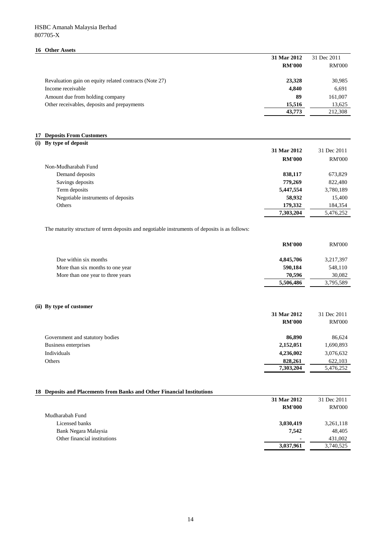## HSBC Amanah Malaysia Berhad 807705-X

### **16 Other Assets**

|                                                        | 31 Mar 2012   | 31 Dec 2011   |
|--------------------------------------------------------|---------------|---------------|
|                                                        | <b>RM'000</b> | <b>RM'000</b> |
| Revaluation gain on equity related contracts (Note 27) | 23,328        | 30,985        |
| Income receivable                                      | 4.840         | 6,691         |
| Amount due from holding company                        | 89            | 161,007       |
| Other receivables, deposits and prepayments            | 15,516        | 13,625        |
|                                                        | 43,773        | 212.308       |

### **17 Deposits From Customers**

| (i) By type of deposit             |               |               |
|------------------------------------|---------------|---------------|
|                                    | 31 Mar 2012   | 31 Dec 2011   |
|                                    | <b>RM'000</b> | <b>RM'000</b> |
| Non-Mudharabah Fund                |               |               |
| Demand deposits                    | 838,117       | 673,829       |
| Savings deposits                   | 779,269       | 822,480       |
| Term deposits                      | 5,447,554     | 3,780,189     |
| Negotiable instruments of deposits | 58,932        | 15,400        |
| Others                             | 179,332       | 184,354       |
|                                    | 7,303,204     | 5,476,252     |
|                                    |               |               |

The maturity structure of term deposits and negotiable instruments of deposits is as follows:

|                                   | <b>RM'000</b> | <b>RM'000</b> |
|-----------------------------------|---------------|---------------|
| Due within six months             | 4,845,706     | 3,217,397     |
| More than six months to one year  | 590.184       | 548,110       |
| More than one year to three years | 70,596        | 30.082        |
|                                   | 5,506,486     | 3,795,589     |

# **(ii) By type of customer**

|                                 | 31 Mar 2012   | 31 Dec 2011   |
|---------------------------------|---------------|---------------|
|                                 | <b>RM'000</b> | <b>RM'000</b> |
| Government and statutory bodies | 86,890        | 86,624        |
| Business enterprises            | 2,152,051     | 1,690,893     |
| Individuals                     | 4,236,002     | 3,076,632     |
| Others                          | 828,261       | 622,103       |
|                                 | 7,303,204     | 5,476,252     |

## **18 Deposits and Placements from Banks and Other Financial Institutions**

|                              | 31 Mar 2012   | 31 Dec 2011   |
|------------------------------|---------------|---------------|
|                              | <b>RM'000</b> | <b>RM'000</b> |
| Mudharabah Fund              |               |               |
| Licensed banks               | 3,030,419     | 3,261,118     |
| Bank Negara Malaysia         | 7.542         | 48,405        |
| Other financial institutions | ٠             | 431,002       |
|                              | 3,037,961     | 3,740,525     |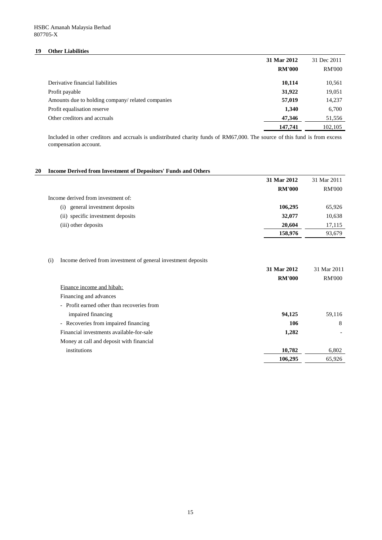## **19 Other Liabilities**

| 31 Mar 2012<br><b>RM'000</b>                                | 31 Dec 2011<br><b>RM'000</b> |
|-------------------------------------------------------------|------------------------------|
| Derivative financial liabilities<br>10,114                  | 10,561                       |
| 31,922<br>Profit payable                                    | 19,051                       |
| 57,019<br>Amounts due to holding company/ related companies | 14,237                       |
| 1,340<br>Profit equalisation reserve                        | 6,700                        |
| 47,346<br>Other creditors and accruals                      | 51,556                       |
| 147,741                                                     | 102,105                      |

Included in other creditors and accruals is undistributed charity funds of RM67,000. The source of this fund is from excess compensation account.

# **20 Income Derived from Investment of Depositors' Funds and Others**

|                                    | 31 Mar 2012   | 31 Mar 2011   |
|------------------------------------|---------------|---------------|
|                                    | <b>RM'000</b> | <b>RM'000</b> |
| Income derived from investment of: |               |               |
| general investment deposits<br>(i) | 106.295       | 65,926        |
| (ii) specific investment deposits  | 32,077        | 10,638        |
| (iii) other deposits               | 20,604        | 17,115        |
|                                    | 158,976       | 93,679        |

## (i) Income derived from investment of general investment deposits

|                                            | 31 Mar 2012   | 31 Mar 2011   |
|--------------------------------------------|---------------|---------------|
|                                            | <b>RM'000</b> | <b>RM'000</b> |
| Finance income and hibah:                  |               |               |
| Financing and advances                     |               |               |
| - Profit earned other than recoveries from |               |               |
| impaired financing                         | 94.125        | 59,116        |
| - Recoveries from impaired financing       | 106           | 8             |
| Financial investments available-for-sale   | 1,282         |               |
| Money at call and deposit with financial   |               |               |
| institutions                               | 10,782        | 6,802         |
|                                            | 106,295       | 65,926        |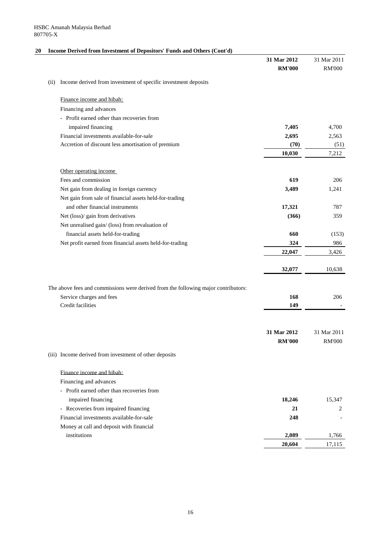# **20 Income Derived from Investment of Depositors' Funds and Others (Cont'd)**

|      |                                                                                    | 31 Mar 2012   | 31 Mar 2011   |
|------|------------------------------------------------------------------------------------|---------------|---------------|
|      |                                                                                    | <b>RM'000</b> | <b>RM'000</b> |
| (ii) | Income derived from investment of specific investment deposits                     |               |               |
|      | Finance income and hibah:                                                          |               |               |
|      | Financing and advances                                                             |               |               |
|      | - Profit earned other than recoveries from                                         |               |               |
|      | impaired financing                                                                 | 7,405         | 4,700         |
|      | Financial investments available-for-sale                                           | 2,695         | 2,563         |
|      | Accretion of discount less amortisation of premium                                 | (70)          | (51)          |
|      |                                                                                    | 10,030        | 7,212         |
|      | Other operating income                                                             |               |               |
|      | Fees and commission                                                                | 619           | 206           |
|      | Net gain from dealing in foreign currency                                          | 3,489         | 1,241         |
|      | Net gain from sale of financial assets held-for-trading                            |               |               |
|      | and other financial instruments                                                    | 17,321        | 787           |
|      | Net (loss)/ gain from derivatives                                                  | (366)         | 359           |
|      | Net unrealised gain/ (loss) from revaluation of                                    |               |               |
|      | financial assets held-for-trading                                                  | 660           | (153)         |
|      | Net profit earned from financial assets held-for-trading                           | 324           | 986           |
|      |                                                                                    | 22,047        | 3,426         |
|      |                                                                                    | 32,077        | 10,638        |
|      |                                                                                    |               |               |
|      | The above fees and commissions were derived from the following major contributors: |               |               |
|      | Service charges and fees                                                           | 168           | 206           |
|      | Credit facilities                                                                  | 149           |               |
|      |                                                                                    |               |               |
|      |                                                                                    | 31 Mar 2012   | 31 Mar 2011   |
|      |                                                                                    | <b>RM'000</b> | <b>RM'000</b> |
|      | (iii) Income derived from investment of other deposits                             |               |               |
|      | Finance income and hibah:                                                          |               |               |
|      | Financing and advances                                                             |               |               |
|      | - Profit earned other than recoveries from                                         |               |               |
|      | impaired financing                                                                 | 18,246        | 15,347        |
|      | - Recoveries from impaired financing                                               | 21            | 2             |
|      | Financial investments available-for-sale                                           | 248           |               |
|      | Money at call and deposit with financial                                           |               |               |
|      | institutions                                                                       | 2,089         | 1,766         |
|      |                                                                                    | 20,604        | 17,115        |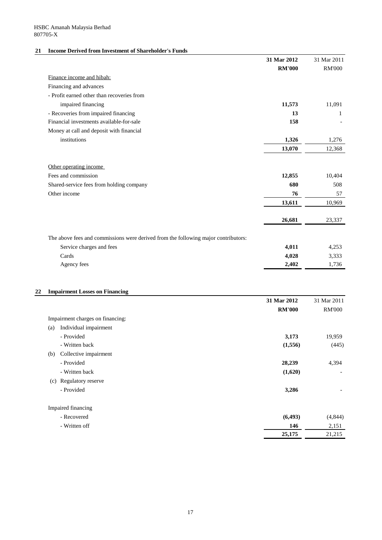# **21 Income Derived from Investment of Shareholder's Funds**

|                                                                                    | 31 Mar 2012   | 31 Mar 2011    |
|------------------------------------------------------------------------------------|---------------|----------------|
|                                                                                    | <b>RM'000</b> | <b>RM'000</b>  |
| Finance income and hibah:                                                          |               |                |
| Financing and advances                                                             |               |                |
| - Profit earned other than recoveries from                                         |               |                |
| impaired financing                                                                 | 11,573        | 11,091         |
| - Recoveries from impaired financing                                               | 13            | 1              |
| Financial investments available-for-sale                                           | 158           |                |
| Money at call and deposit with financial                                           |               |                |
| institutions                                                                       | 1,326         | 1,276          |
|                                                                                    | 13,070        | 12,368         |
|                                                                                    |               |                |
| Other operating income                                                             |               |                |
| Fees and commission                                                                | 12,855        | 10,404         |
| Shared-service fees from holding company                                           | 680           | 508            |
| Other income                                                                       | 76            | 57             |
|                                                                                    | 13,611        | 10,969         |
|                                                                                    |               |                |
|                                                                                    | 26,681        | 23,337         |
|                                                                                    |               |                |
| The above fees and commissions were derived from the following major contributors: | 4,011         |                |
| Service charges and fees<br>Cards                                                  | 4,028         | 4,253          |
|                                                                                    | 2,402         | 3,333<br>1,736 |
| Agency fees                                                                        |               |                |
| <b>Impairment Losses on Financing</b>                                              |               |                |
|                                                                                    | 31 Mar 2012   | 31 Mar 2011    |
|                                                                                    | <b>RM'000</b> | <b>RM'000</b>  |
| Impairment charges on financing                                                    |               |                |

|     | Impairment charges on financing: |          |          |
|-----|----------------------------------|----------|----------|
| (a) | Individual impairment            |          |          |
|     | - Provided                       | 3,173    | 19,959   |
|     | - Written back                   | (1,556)  | (445)    |
| (b) | Collective impairment            |          |          |
|     | - Provided                       | 28,239   | 4,394    |
|     | - Written back                   | (1,620)  |          |
| (c) | Regulatory reserve               |          |          |
|     | - Provided                       | 3,286    |          |
|     | Impaired financing               |          |          |
|     | - Recovered                      | (6, 493) | (4, 844) |
|     | - Written off                    | 146      | 2,151    |
|     |                                  | 25,175   | 21,215   |
|     |                                  |          |          |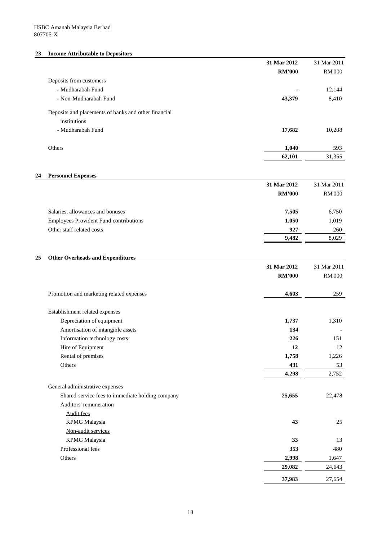# **23 Income Attributable to Depositors**

|                                                      | 31 Mar 2012   | 31 Mar 2011   |
|------------------------------------------------------|---------------|---------------|
|                                                      | <b>RM'000</b> | <b>RM'000</b> |
| Deposits from customers                              |               |               |
| - Mudharabah Fund                                    | ٠             | 12,144        |
| - Non-Mudharabah Fund                                | 43,379        | 8,410         |
| Deposits and placements of banks and other financial |               |               |
| institutions                                         |               |               |
| - Mudharabah Fund                                    | 17,682        | 10,208        |
| <b>Others</b>                                        | 1,040         | 593           |
|                                                      | 62,101        | 31,355        |
|                                                      |               |               |

# **24 Personnel Expenses**

|                                               | 31 Mar 2012   | 31 Mar 2011   |
|-----------------------------------------------|---------------|---------------|
|                                               | <b>RM'000</b> | <b>RM'000</b> |
| Salaries, allowances and bonuses              | 7,505         | 6,750         |
| <b>Employees Provident Fund contributions</b> | 1,050         | 1,019         |
| Other staff related costs                     | 927           | 260           |
|                                               | 9,482         | 8,029         |

# **25 Other Overheads and Expenditures**

|                                                  | 31 Mar 2012   | 31 Mar 2011   |
|--------------------------------------------------|---------------|---------------|
|                                                  | <b>RM'000</b> | <b>RM'000</b> |
| Promotion and marketing related expenses         | 4,603         | 259           |
| Establishment related expenses                   |               |               |
| Depreciation of equipment                        | 1,737         | 1,310         |
| Amortisation of intangible assets                | 134           |               |
| Information technology costs                     | 226           | 151           |
| Hire of Equipment                                | 12            | 12            |
| Rental of premises                               | 1,758         | 1,226         |
| Others                                           | 431           | 53            |
|                                                  | 4,298         | 2,752         |
| General administrative expenses                  |               |               |
| Shared-service fees to immediate holding company | 25,655        | 22,478        |
| Auditors' remuneration                           |               |               |
| <b>Audit fees</b>                                |               |               |
| <b>KPMG</b> Malaysia                             | 43            | 25            |
| Non-audit services                               |               |               |
| <b>KPMG</b> Malaysia                             | 33            | 13            |
| Professional fees                                | 353           | 480           |
| Others                                           | 2,998         | 1,647         |
|                                                  | 29,082        | 24,643        |
|                                                  | 37,983        | 27,654        |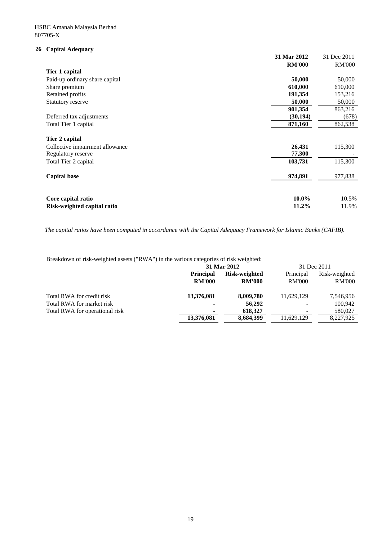# **26 Capital Adequacy**

|                                                   | 31 Mar 2012   | 31 Dec 2011   |
|---------------------------------------------------|---------------|---------------|
|                                                   | <b>RM'000</b> | <b>RM'000</b> |
| Tier 1 capital                                    |               |               |
| Paid-up ordinary share capital                    | 50,000        | 50,000        |
| Share premium                                     | 610,000       | 610,000       |
| Retained profits                                  | 191,354       | 153,216       |
| Statutory reserve                                 | 50,000        | 50,000        |
|                                                   | 901,354       | 863,216       |
| Deferred tax adjustments                          | (30, 194)     | (678)         |
| Total Tier 1 capital                              | 871,160       | 862,538       |
| Tier 2 capital<br>Collective impairment allowance | 26,431        | 115,300       |
| Regulatory reserve                                | 77,300        |               |
| Total Tier 2 capital                              | 103,731       | 115,300       |
| <b>Capital base</b>                               | 974,891       | 977,838       |
| Core capital ratio                                | 10.0%         | 10.5%         |
| Risk-weighted capital ratio                       | 11.2%         | 11.9%         |

*The capital ratios have been computed in accordance with the Capital Adequacy Framework for Islamic Banks (CAFIB).*

Breakdown of risk-weighted assets ("RWA") in the various categories of risk weighted:

|                                |                          | 31 Mar 2012   |               | 31 Dec 2011   |  |
|--------------------------------|--------------------------|---------------|---------------|---------------|--|
|                                | <b>Principal</b>         | Risk-weighted | Principal     | Risk-weighted |  |
|                                | <b>RM'000</b>            | <b>RM'000</b> | <b>RM'000</b> | <b>RM'000</b> |  |
| Total RWA for credit risk      | 13,376,081               | 8,009,780     | 11.629.129    | 7,546,956     |  |
| Total RWA for market risk      | $\overline{\phantom{0}}$ | 56,292        | -             | 100,942       |  |
| Total RWA for operational risk | ۰                        | 618,327       |               | 580,027       |  |
|                                | 13,376,081               | 8,684,399     | 11.629.129    | 8,227,925     |  |
|                                |                          |               |               |               |  |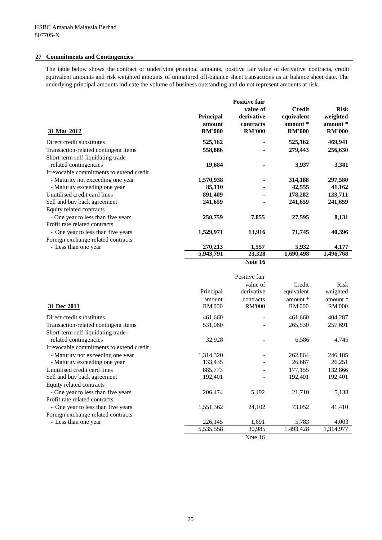## **27 Commitments and Contingencies**

The table below shows the contract or underlying principal amounts, positive fair value of derivative contracts, credit equivalent amounts and risk weighted amounts of unmatured off-balance sheet transactions as at balance sheet date. The underlying principal amounts indicate the volume of business outstanding and do not represent amounts at risk.

|                                                             |                                             | <b>Positive fair</b>                                 |                                                          |                                                      |
|-------------------------------------------------------------|---------------------------------------------|------------------------------------------------------|----------------------------------------------------------|------------------------------------------------------|
| 31 Mar 2012                                                 | <b>Principal</b><br>amount<br><b>RM'000</b> | value of<br>derivative<br>contracts<br><b>RM'000</b> | <b>Credit</b><br>equivalent<br>amount *<br><b>RM'000</b> | <b>Risk</b><br>weighted<br>amount *<br><b>RM'000</b> |
| Direct credit substitutes                                   | 525,162                                     |                                                      | 525,162                                                  | 469,941                                              |
| Transaction-related contingent items                        | 558,886                                     |                                                      | 279,443                                                  | 256,630                                              |
| Short-term self-liquidating trade-<br>related contingencies | 19,684                                      |                                                      | 3,937                                                    | 3,381                                                |
| Irrevocable commitments to extend credit                    |                                             |                                                      |                                                          |                                                      |
| - Maturity not exceeding one year                           | 1,570,938                                   |                                                      | 314,188                                                  | 297,580                                              |
| - Maturity exceeding one year                               | 85,110                                      |                                                      | 42,555                                                   | 41,162                                               |
| Unutilised credit card lines                                | 891,409                                     |                                                      | 178,282                                                  | 133,711                                              |
| Sell and buy back agreement                                 | 241,659                                     |                                                      | 241,659                                                  | 241,659                                              |
| Equity related contracts                                    |                                             |                                                      |                                                          |                                                      |
| - One year to less than five years                          | 250,759                                     | 7,855                                                | 27,595                                                   | 8,131                                                |
| Profit rate related contracts                               |                                             |                                                      |                                                          |                                                      |
| - One year to less than five years                          | 1,529,971                                   | 13,916                                               | 71,745                                                   | 40,396                                               |
| Foreign exchange related contracts                          |                                             |                                                      |                                                          |                                                      |
| - Less than one year                                        | 270,213                                     | 1,557                                                | 5,932                                                    | 4,177                                                |
|                                                             | 5,943,791                                   | 23,328                                               | 1,690,498                                                | 1,496,768                                            |

**Note 16**

|                                          |                                      | Positive fair                                        |                                                     |                                                        |
|------------------------------------------|--------------------------------------|------------------------------------------------------|-----------------------------------------------------|--------------------------------------------------------|
| 31 Dec 2011                              | Principal<br>amount<br><b>RM'000</b> | value of<br>derivative<br>contracts<br><b>RM'000</b> | Credit<br>equivalent<br>amount $*$<br><b>RM'000</b> | <b>Risk</b><br>weighted<br>amount $*$<br><b>RM'000</b> |
| Direct credit substitutes                | 461,660                              |                                                      | 461,660                                             | 404,287                                                |
| Transaction-related contingent items     | 531,060                              |                                                      | 265,530                                             | 257,691                                                |
| Short-term self-liquidating trade-       |                                      |                                                      |                                                     |                                                        |
| related contingencies                    | 32,928                               |                                                      | 6,586                                               | 4,745                                                  |
| Irrevocable commitments to extend credit |                                      |                                                      |                                                     |                                                        |
| - Maturity not exceeding one year        | 1,314,320                            |                                                      | 262,864                                             | 246,185                                                |
| - Maturity exceeding one year            | 133,435                              |                                                      | 26,687                                              | 26,251                                                 |
| Unutilised credit card lines             | 885,773                              |                                                      | 177,155                                             | 132,866                                                |
| Sell and buy back agreement              | 192,401                              |                                                      | 192,401                                             | 192,401                                                |
| Equity related contracts                 |                                      |                                                      |                                                     |                                                        |
| - One year to less than five years       | 206,474                              | 5,192                                                | 21,710                                              | 5,138                                                  |
| Profit rate related contracts            |                                      |                                                      |                                                     |                                                        |
| - One year to less than five years       | 1,551,362                            | 24,102                                               | 73,052                                              | 41,410                                                 |
| Foreign exchange related contracts       |                                      |                                                      |                                                     |                                                        |
| - Less than one year                     | 226,145                              | 1,691                                                | 5,783                                               | 4,003                                                  |
|                                          | 5,535,558                            | 30,985                                               | 1,493,428                                           | 1,314,977                                              |
|                                          |                                      |                                                      |                                                     |                                                        |

Note 16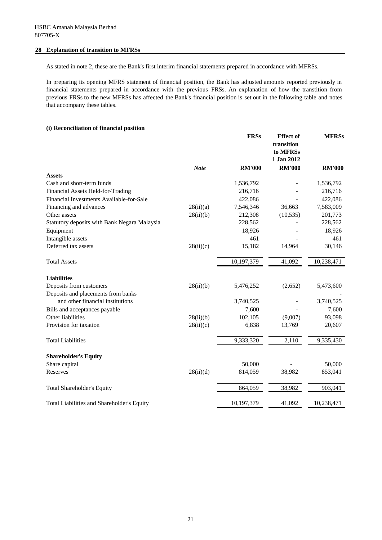## **28 Explanation of transition to MFRSs**

As stated in note 2, these are the Bank's first interim financial statements prepared in accordance with MFRSs.

In preparing its opening MFRS statement of financial position, the Bank has adjusted amounts reported previously in financial statements prepared in accordance with the previous FRSs. An explanation of how the transtition from previous FRSs to the new MFRSs has affected the Bank's financial position is set out in the following table and notes that accompany these tables.

# **(i) Reconciliation of financial position**

|                                              |             | <b>FRSs</b>   | <b>Effect</b> of<br>transition<br>to MFRSs<br>1 Jan 2012 | <b>MFRSs</b>  |
|----------------------------------------------|-------------|---------------|----------------------------------------------------------|---------------|
|                                              | <b>Note</b> | <b>RM'000</b> | <b>RM'000</b>                                            | <b>RM'000</b> |
| <b>Assets</b>                                |             |               |                                                          |               |
| Cash and short-term funds                    |             | 1,536,792     |                                                          | 1,536,792     |
| Financial Assets Held-for-Trading            |             | 216,716       |                                                          | 216,716       |
| Financial Investments Available-for-Sale     |             | 422,086       |                                                          | 422,086       |
| Financing and advances                       | 28(ii)(a)   | 7,546,346     | 36,663                                                   | 7,583,009     |
| Other assets                                 | 28(ii)(b)   | 212,308       | (10, 535)                                                | 201,773       |
| Statutory deposits with Bank Negara Malaysia |             | 228,562       |                                                          | 228,562       |
| Equipment                                    |             | 18,926        |                                                          | 18,926        |
| Intangible assets                            |             | 461           |                                                          | 461           |
| Deferred tax assets                          | 28(ii)(c)   | 15,182        | 14,964                                                   | 30,146        |
| <b>Total Assets</b>                          |             | 10,197,379    | 41,092                                                   | 10,238,471    |
| <b>Liabilities</b>                           |             |               |                                                          |               |
| Deposits from customers                      | 28(ii)(b)   | 5,476,252     | (2,652)                                                  | 5,473,600     |
| Deposits and placements from banks           |             |               |                                                          |               |
| and other financial institutions             |             | 3,740,525     |                                                          | 3,740,525     |
| Bills and acceptances payable                |             | 7,600         |                                                          | 7,600         |
| Other liabilities                            | 28(ii)(b)   | 102,105       | (9,007)                                                  | 93,098        |
| Provision for taxation                       | 28(ii)(c)   | 6,838         | 13,769                                                   | 20,607        |
| <b>Total Liabilities</b>                     |             | 9,333,320     | 2,110                                                    | 9,335,430     |
| <b>Shareholder's Equity</b>                  |             |               |                                                          |               |
| Share capital                                |             | 50,000        |                                                          | 50,000        |
| Reserves                                     | 28(ii)(d)   | 814,059       | 38,982                                                   | 853,041       |
| <b>Total Shareholder's Equity</b>            |             | 864,059       | 38,982                                                   | 903,041       |
| Total Liabilities and Shareholder's Equity   |             | 10,197,379    | 41,092                                                   | 10,238,471    |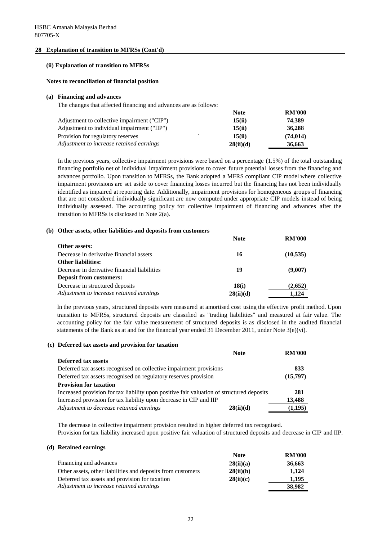## **28 Explanation of transition to MFRSs (Cont'd)**

### **(ii) Explanation of transition to MFRSs**

### **Notes to reconciliation of financial position**

### **(a) Financing and advances**

The changes that affected financing and advances are as follows:

|                                             | <b>Note</b> | <b>RM'000</b> |
|---------------------------------------------|-------------|---------------|
| Adjustment to collective impairment ("CIP") | 15(ii)      | 74.389        |
| Adjustment to individual impairment ("IIP") | 15(ii)      | 36,288        |
| Provision for regulatory reserves           | 15(ii)      | (74, 014)     |
| Adjustment to increase retained earnings    | 28(ii)(d)   | 36,663        |

In the previous years, collective impairment provisions were based on a percentage (1.5%) of the total outstanding financing portfolio net of individual impairment provisions to cover future potential losses from the financing and advances portfolio. Upon transition to MFRSs, the Bank adopted a MFRS compliant CIP model where collective impairment provisions are set aside to cover financing losses incurred but the financing has not been individually identified as impaired at reporting date. Additionally, impairment provisions for homogeneous groups of financing that are not considered individually significant are now computed under appropriate CIP models instead of being individually assessed. The accounting policy for collective impairment of financing and advances after the transition to MFRSs is disclosed in Note 2(a).

### **(b) Other assets, other liabilities and deposits from customers**

|                                              | <b>Note</b> | <b>RM'000</b> |
|----------------------------------------------|-------------|---------------|
| Other assets:                                |             |               |
| Decrease in derivative financial assets      | 16          | (10, 535)     |
| <b>Other liabilities:</b>                    |             |               |
| Decrease in derivative financial liabilities | 19          | (9,007)       |
| <b>Deposit from customers:</b>               |             |               |
| Decrease in structured deposits              | 18(i)       | (2,652)       |
| Adjustment to increase retained earnings     | 28(ii)(d)   | 1.124         |

In the previous years, structured deposits were measured at amortised cost using the effective profit method. Upon transition to MFRSs, structured deposits are classified as "trading liabilities" and measured at fair value. The accounting policy for the fair value measurement of structured deposits is as disclosed in the audited financial statements of the Bank as at and for the financial year ended 31 December 2011, under Note 3(e)(vi).

### **(c) Deferred tax assets and provision for taxation**

| <b>Note</b>                                                                               | <b>RM'000</b> |
|-------------------------------------------------------------------------------------------|---------------|
| Deferred tax assets                                                                       |               |
| Deferred tax assets recognised on collective impairment provisions                        |               |
| Deferred tax assets recognised on regulatory reserves provision                           |               |
| <b>Provision for taxation</b>                                                             |               |
| Increased provision for tax liability upon positive fair valuation of structured deposits |               |
| Increased provision for tax liability upon decrease in CIP and IIP                        | 13,488        |
| Adjustment to decrease retained earnings<br>28(ii)(d)                                     | (1,195)       |

The decrease in collective impairment provision resulted in higher deferred tax recognised. Provision for tax liability increased upon positive fair valuation of structured deposits and decrease in CIP and IIP.

### **(d) Retained earnings**

|                                                             | <b>Note</b> | <b>RM'000</b> |
|-------------------------------------------------------------|-------------|---------------|
| Financing and advances                                      | 28(ii)(a)   | 36,663        |
| Other assets, other liabilities and deposits from customers | 28(ii)(b)   | 1.124         |
| Deferred tax assets and provision for taxation              | 28(ii)(c)   | 1.195         |
| Adjustment to increase retained earnings                    |             | 38,982        |